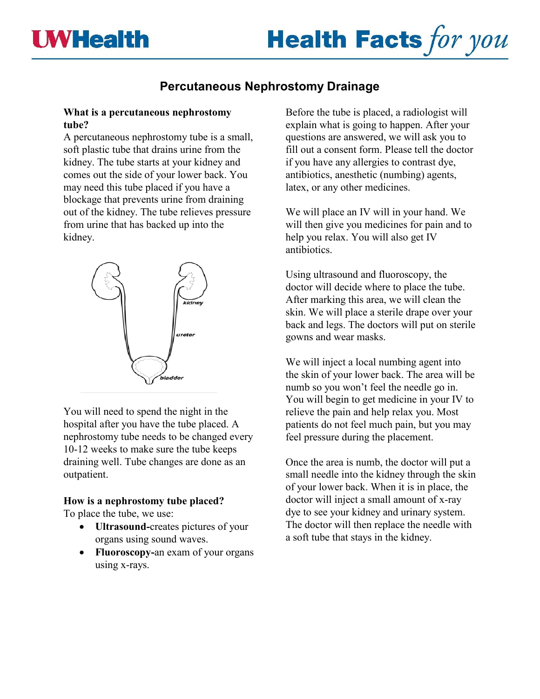# **Percutaneous Nephrostomy Drainage**

#### **What is a percutaneous nephrostomy tube?**

A percutaneous nephrostomy tube is a small, soft plastic tube that drains urine from the kidney. The tube starts at your kidney and comes out the side of your lower back. You may need this tube placed if you have a blockage that prevents urine from draining out of the kidney. The tube relieves pressure from urine that has backed up into the kidney.



You will need to spend the night in the hospital after you have the tube placed. A nephrostomy tube needs to be changed every 10-12 weeks to make sure the tube keeps draining well. Tube changes are done as an outpatient.

#### **How is a nephrostomy tube placed?**

To place the tube, we use:

- **Ultrasound-**creates pictures of your organs using sound waves.
- **Fluoroscopy-**an exam of your organs using x-rays.

Before the tube is placed, a radiologist will explain what is going to happen. After your questions are answered, we will ask you to fill out a consent form. Please tell the doctor if you have any allergies to contrast dye, antibiotics, anesthetic (numbing) agents, latex, or any other medicines.

We will place an IV will in your hand. We will then give you medicines for pain and to help you relax. You will also get IV antibiotics.

Using ultrasound and fluoroscopy, the doctor will decide where to place the tube. After marking this area, we will clean the skin. We will place a sterile drape over your back and legs. The doctors will put on sterile gowns and wear masks.

We will inject a local numbing agent into the skin of your lower back. The area will be numb so you won't feel the needle go in. You will begin to get medicine in your IV to relieve the pain and help relax you. Most patients do not feel much pain, but you may feel pressure during the placement.

Once the area is numb, the doctor will put a small needle into the kidney through the skin of your lower back. When it is in place, the doctor will inject a small amount of x-ray dye to see your kidney and urinary system. The doctor will then replace the needle with a soft tube that stays in the kidney.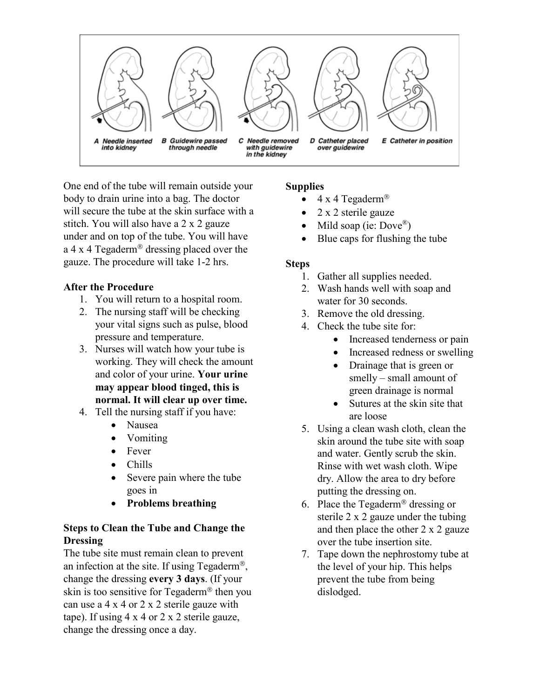

One end of the tube will remain outside your body to drain urine into a bag. The doctor will secure the tube at the skin surface with a stitch. You will also have a 2 x 2 gauze under and on top of the tube. You will have a 4 x 4 Tegaderm<sup>®</sup> dressing placed over the gauze. The procedure will take 1-2 hrs.

#### **After the Procedure**

- 1. You will return to a hospital room.
- 2. The nursing staff will be checking your vital signs such as pulse, blood pressure and temperature.
- 3. Nurses will watch how your tube is working. They will check the amount and color of your urine. **Your urine may appear blood tinged, this is normal. It will clear up over time.**
- 4. Tell the nursing staff if you have:
	- Nausea
	- Vomiting
	- Fever
	- Chills
	- Severe pain where the tube goes in
	- **Problems breathing**

## **Steps to Clean the Tube and Change the Dressing**

The tube site must remain clean to prevent an infection at the site. If using Tegaderm<sup>®</sup>, change the dressing **every 3 days**. (If your skin is too sensitive for  $Tegaderm^{\circledR}$  then you can use a 4 x 4 or 2 x 2 sterile gauze with tape). If using 4 x 4 or 2 x 2 sterile gauze, change the dressing once a day.

#### **Supplies**

- $4 \times 4$  Tegaderm<sup>®</sup>
- 2 x 2 sterile gauze
- Mild soap (ie:  $Dove^{\circledR}$ )
- Blue caps for flushing the tube

#### **Steps**

- 1. Gather all supplies needed.
- 2. Wash hands well with soap and water for 30 seconds.
- 3. Remove the old dressing.
- 4. Check the tube site for:
	- Increased tenderness or pain
	- Increased redness or swelling
	- Drainage that is green or smelly – small amount of green drainage is normal
	- Sutures at the skin site that are loose
- 5. Using a clean wash cloth, clean the skin around the tube site with soap and water. Gently scrub the skin. Rinse with wet wash cloth. Wipe dry. Allow the area to dry before putting the dressing on.
- 6. Place the Tegaderm<sup>®</sup> dressing or sterile 2 x 2 gauze under the tubing and then place the other 2 x 2 gauze over the tube insertion site.
- 7. Tape down the nephrostomy tube at the level of your hip. This helps prevent the tube from being dislodged.